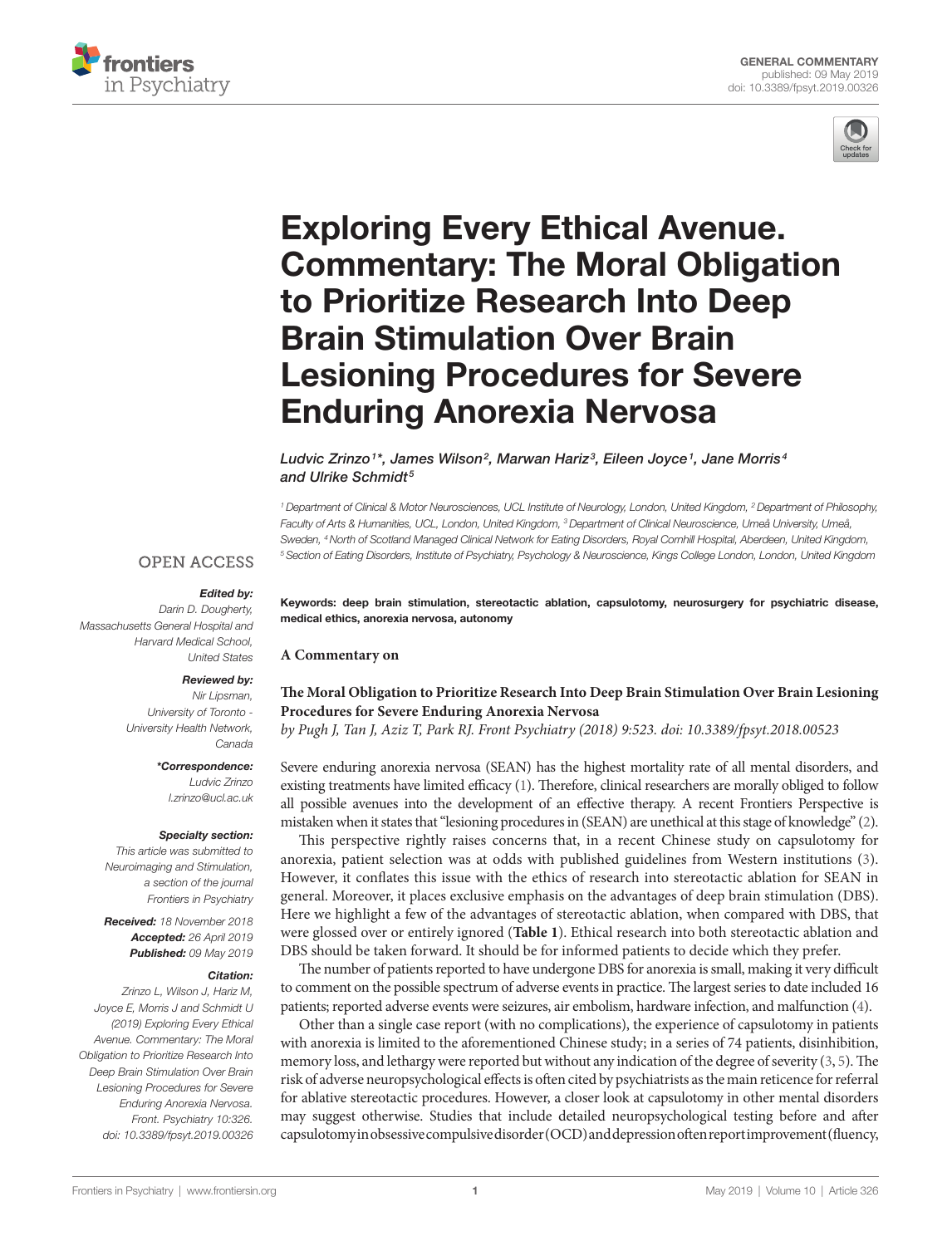



# [Exploring Every Ethical Avenue.](https://www.frontiersin.org/article/10.3389/fpsyt.2019.00326/full)  [Commentary: The Moral Obligation](https://www.frontiersin.org/article/10.3389/fpsyt.2019.00326/full)  [to Prioritize Research Into Deep](https://www.frontiersin.org/article/10.3389/fpsyt.2019.00326/full)  [Brain Stimulation Over Brain](https://www.frontiersin.org/article/10.3389/fpsyt.2019.00326/full)  [Lesioning Procedures for Severe](https://www.frontiersin.org/article/10.3389/fpsyt.2019.00326/full)  [Enduring Anorexia Nervosa](https://www.frontiersin.org/article/10.3389/fpsyt.2019.00326/full)

### *[Ludvic Zrinzo](https://loop.frontiersin.org/people/159761)1\*, [James Wilson](https://loop.frontiersin.org/people/712213)2, Marwan Hariz3, [Eileen Joyce](https://loop.frontiersin.org/people/117491)1, Jane Morris4 and Ulrike Schmidt5*

*1 Department of Clinical & Motor Neurosciences, UCL Institute of Neurology, London, United Kingdom, 2 Department of Philosophy,*  Faculty of Arts & Humanities, UCL, London, United Kingdom, <sup>3</sup> Department of Clinical Neuroscience, Umeå University, Umeå, *Sweden, 4 North of Scotland Managed Clinical Network for Eating Disorders, Royal Cornhill Hospital, Aberdeen, United Kingdom, 5 Section of Eating Disorders, Institute of Psychiatry, Psychology & Neuroscience, Kings College London, London, United Kingdom*

## **OPEN ACCESS**

#### *Edited by:*

*Darin D. Dougherty, Massachusetts General Hospital and Harvard Medical School, United States*

#### *Reviewed by:*

*Nir Lipsman, University of Toronto - University Health Network, Canada*

#### *\*Correspondence:*

*Ludvic Zrinzo [l.zrinzo@ucl.ac.uk](mailto:l.zrinzo@ucl.ac.uk)*

#### *Specialty section:*

*This article was submitted to Neuroimaging and Stimulation, a section of the journal Frontiers in Psychiatry*

*Received: 18 November 2018 Accepted: 26 April 2019 Published: 09 May 2019*

#### *Citation:*

*Zrinzo L, Wilson J, Hariz M, Joyce E, Morris J and Schmidt U (2019) Exploring Every Ethical Avenue. Commentary: The Moral Obligation to Prioritize Research Into Deep Brain Stimulation Over Brain Lesioning Procedures for Severe Enduring Anorexia Nervosa. Front. Psychiatry 10:326. doi: [10.3389/fpsyt.2019.00326](https://doi.org/10.3389/fpsyt.2019.00326)* Keywords: deep brain stimulation, stereotactic ablation, capsulotomy, neurosurgery for psychiatric disease, medical ethics, anorexia nervosa, autonomy

**A Commentary on**

## **[The Moral Obligation to Prioritize Research Into Deep Brain Stimulation Over Brain Lesioning](http://journal.frontiersin.org/article/10.3389/fpsyt.2018.00523/full)  [Procedures for Severe Enduring Anorexia Nervosa](http://journal.frontiersin.org/article/10.3389/fpsyt.2018.00523/full)**

*by Pugh J, Tan J, Aziz T, Park RJ. Front Psychiatry (2018) 9:523. doi: [10.3389/fpsyt.2018.00523](https://doi.org/10.3389/fpsyt.2018.00523)*

Severe enduring anorexia nervosa (SEAN) has the highest mortality rate of all mental disorders, and existing treatments have limited efficacy [\(1](#page-2-0)). Therefore, clinical researchers are morally obliged to follow all possible avenues into the development of an effective therapy. A recent Frontiers Perspective is mistaken when it states that "lesioning procedures in (SEAN) are unethical at this stage of knowledge" [\(2](#page-2-1)).

This perspective rightly raises concerns that, in a recent Chinese study on capsulotomy for anorexia, patient selection was at odds with published guidelines from Western institutions ([3](#page-2-2)). However, it conflates this issue with the ethics of research into stereotactic ablation for SEAN in general. Moreover, it places exclusive emphasis on the advantages of deep brain stimulation (DBS). Here we highlight a few of the advantages of stereotactic ablation, when compared with DBS, that were glossed over or entirely ignored (**[Table 1](#page-1-0)**). Ethical research into both stereotactic ablation and DBS should be taken forward. It should be for informed patients to decide which they prefer.

The number of patients reported to have undergone DBS for anorexia is small, making it very difficult to comment on the possible spectrum of adverse events in practice. The largest series to date included 16 patients; reported adverse events were seizures, air embolism, hardware infection, and malfunction [\(4](#page-2-3)).

Other than a single case report (with no complications), the experience of capsulotomy in patients with anorexia is limited to the aforementioned Chinese study; in a series of 74 patients, disinhibition, memory loss, and lethargy were reported but without any indication of the degree of severity [\(3,](#page-2-2) [5\)](#page-2-4). The risk of adverse neuropsychological effects is often cited by psychiatrists as the main reticence for referral for ablative stereotactic procedures. However, a closer look at capsulotomy in other mental disorders may suggest otherwise. Studies that include detailed neuropsychological testing before and after capsulotomy in obsessive compulsive disorder (OCD) and depression often report improvement (fluency,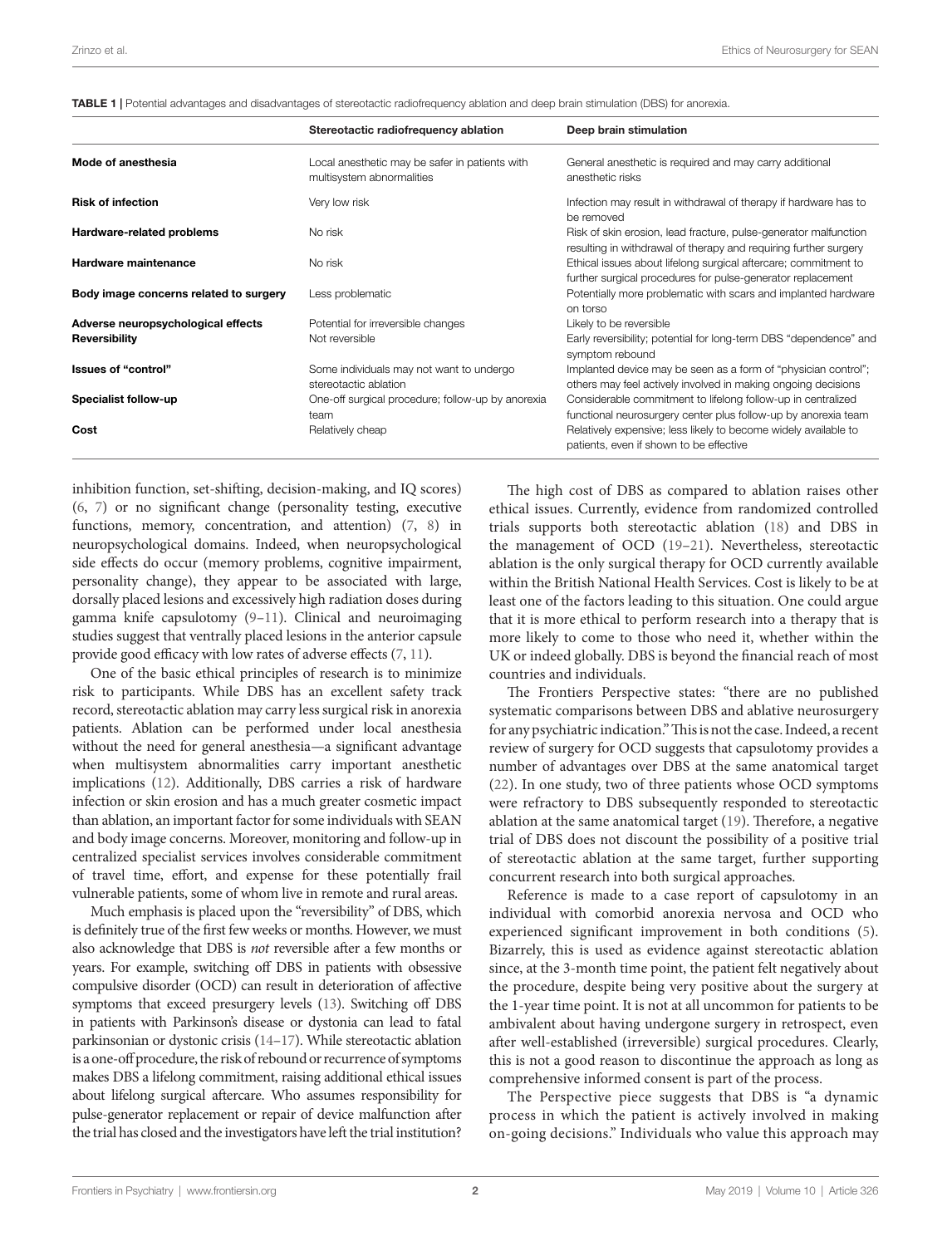<span id="page-1-0"></span>

|                                        | Stereotactic radiofrequency ablation                                        | Deep brain stimulation                                                                                                               |
|----------------------------------------|-----------------------------------------------------------------------------|--------------------------------------------------------------------------------------------------------------------------------------|
| Mode of anesthesia                     | Local anesthetic may be safer in patients with<br>multisystem abnormalities | General anesthetic is required and may carry additional<br>anesthetic risks                                                          |
| <b>Risk of infection</b>               | Very low risk                                                               | Infection may result in withdrawal of therapy if hardware has to<br>be removed                                                       |
| Hardware-related problems              | No risk                                                                     | Risk of skin erosion, lead fracture, pulse-generator malfunction<br>resulting in withdrawal of therapy and requiring further surgery |
| Hardware maintenance                   | No risk                                                                     | Ethical issues about lifelong surgical aftercare; commitment to<br>further surgical procedures for pulse-generator replacement       |
| Body image concerns related to surgery | Less problematic                                                            | Potentially more problematic with scars and implanted hardware<br>on torso                                                           |
| Adverse neuropsychological effects     | Potential for irreversible changes                                          | Likely to be reversible                                                                                                              |
| <b>Reversibility</b>                   | Not reversible                                                              | Early reversibility; potential for long-term DBS "dependence" and<br>symptom rebound                                                 |
| Issues of "control"                    | Some individuals may not want to undergo<br>stereotactic ablation           | Implanted device may be seen as a form of "physician control";<br>others may feel actively involved in making ongoing decisions      |
| Specialist follow-up                   | One-off surgical procedure; follow-up by anorexia<br>team                   | Considerable commitment to lifelong follow-up in centralized<br>functional neurosurgery center plus follow-up by anorexia team       |
| Cost                                   | Relatively cheap                                                            | Relatively expensive; less likely to become widely available to<br>patients, even if shown to be effective                           |

inhibition function, set-shifting, decision-making, and IQ scores) [\(6,](#page-2-5) [7](#page-2-6)) or no significant change (personality testing, executive functions, memory, concentration, and attention) [\(7,](#page-2-6) [8\)](#page-2-7) in neuropsychological domains. Indeed, when neuropsychological side effects do occur (memory problems, cognitive impairment, personality change), they appear to be associated with large, dorsally placed lesions and excessively high radiation doses during gamma knife capsulotomy [\(9](#page-2-8)[–11](#page-2-9)). Clinical and neuroimaging studies suggest that ventrally placed lesions in the anterior capsule provide good efficacy with low rates of adverse effects ([7](#page-2-6), [11](#page-2-9)).

One of the basic ethical principles of research is to minimize risk to participants. While DBS has an excellent safety track record, stereotactic ablation may carry less surgical risk in anorexia patients. Ablation can be performed under local anesthesia without the need for general anesthesia—a significant advantage when multisystem abnormalities carry important anesthetic implications [\(12\)](#page-2-10). Additionally, DBS carries a risk of hardware infection or skin erosion and has a much greater cosmetic impact than ablation, an important factor for some individuals with SEAN and body image concerns. Moreover, monitoring and follow-up in centralized specialist services involves considerable commitment of travel time, effort, and expense for these potentially frail vulnerable patients, some of whom live in remote and rural areas.

Much emphasis is placed upon the "reversibility" of DBS, which is definitely true of the first few weeks or months. However, we must also acknowledge that DBS is *not* reversible after a few months or years. For example, switching off DBS in patients with obsessive compulsive disorder (OCD) can result in deterioration of affective symptoms that exceed presurgery levels [\(13\)](#page-2-11). Switching off DBS in patients with Parkinson's disease or dystonia can lead to fatal parkinsonian or dystonic crisis [\(14–](#page-2-12)[17](#page-3-0)). While stereotactic ablation is a one-off procedure, the risk of rebound or recurrence of symptoms makes DBS a lifelong commitment, raising additional ethical issues about lifelong surgical aftercare. Who assumes responsibility for pulse-generator replacement or repair of device malfunction after the trial has closed and the investigators have left the trial institution?

The high cost of DBS as compared to ablation raises other ethical issues. Currently, evidence from randomized controlled trials supports both stereotactic ablation [\(18](#page-3-1)) and DBS in the management of OCD ([19–](#page-3-2)[21\)](#page-3-3). Nevertheless, stereotactic ablation is the only surgical therapy for OCD currently available within the British National Health Services. Cost is likely to be at least one of the factors leading to this situation. One could argue that it is more ethical to perform research into a therapy that is more likely to come to those who need it, whether within the UK or indeed globally. DBS is beyond the financial reach of most countries and individuals.

The Frontiers Perspective states: "there are no published systematic comparisons between DBS and ablative neurosurgery for any psychiatric indication." This is not the case. Indeed, a recent review of surgery for OCD suggests that capsulotomy provides a number of advantages over DBS at the same anatomical target [\(22](#page-3-4)). In one study, two of three patients whose OCD symptoms were refractory to DBS subsequently responded to stereotactic ablation at the same anatomical target ([19\)](#page-3-2). Therefore, a negative trial of DBS does not discount the possibility of a positive trial of stereotactic ablation at the same target, further supporting concurrent research into both surgical approaches.

Reference is made to a case report of capsulotomy in an individual with comorbid anorexia nervosa and OCD who experienced significant improvement in both conditions ([5](#page-2-4)). Bizarrely, this is used as evidence against stereotactic ablation since, at the 3-month time point, the patient felt negatively about the procedure, despite being very positive about the surgery at the 1-year time point. It is not at all uncommon for patients to be ambivalent about having undergone surgery in retrospect, even after well-established (irreversible) surgical procedures. Clearly, this is not a good reason to discontinue the approach as long as comprehensive informed consent is part of the process.

The Perspective piece suggests that DBS is "a dynamic process in which the patient is actively involved in making on-going decisions." Individuals who value this approach may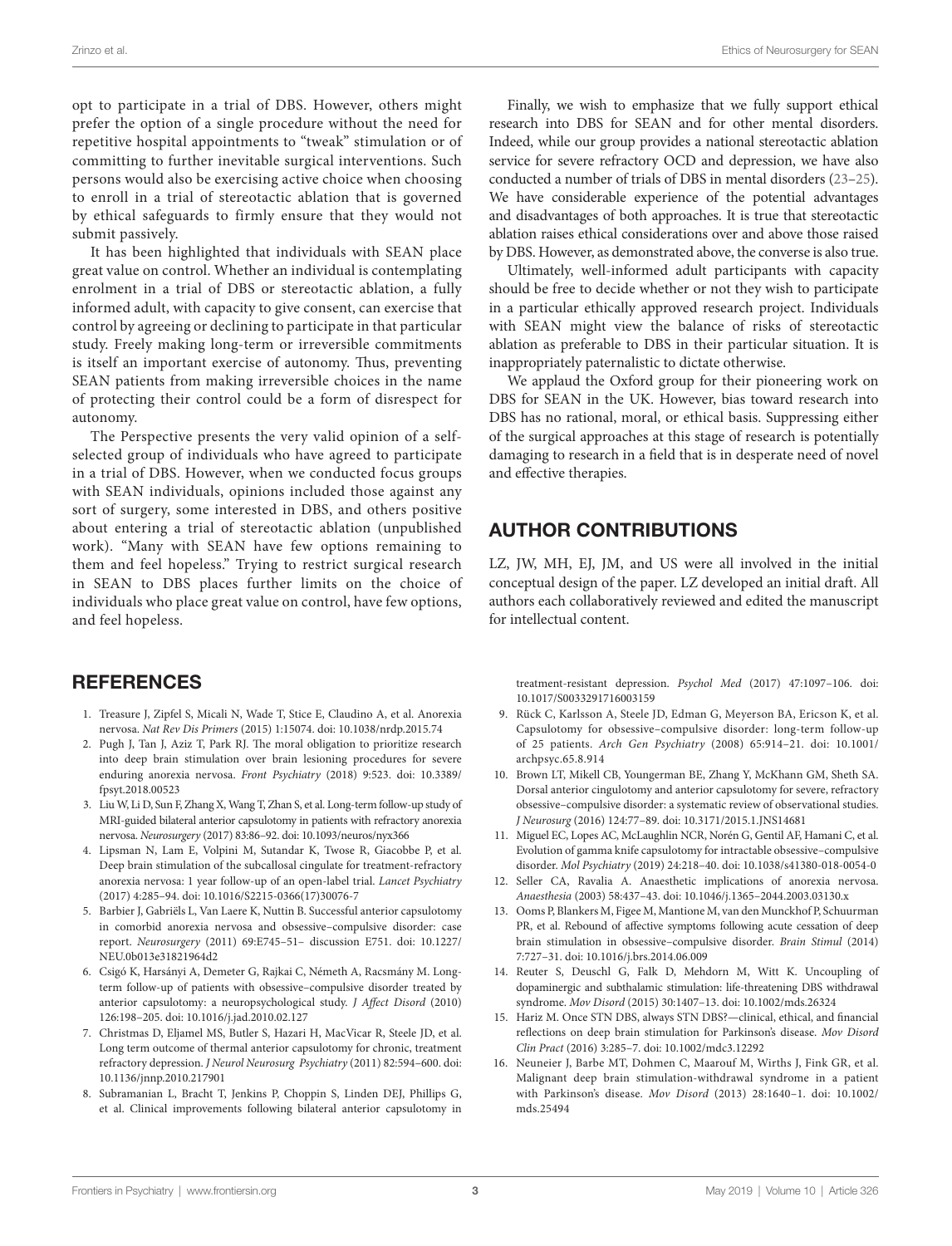opt to participate in a trial of DBS. However, others might prefer the option of a single procedure without the need for repetitive hospital appointments to "tweak" stimulation or of committing to further inevitable surgical interventions. Such persons would also be exercising active choice when choosing to enroll in a trial of stereotactic ablation that is governed by ethical safeguards to firmly ensure that they would not submit passively.

It has been highlighted that individuals with SEAN place great value on control. Whether an individual is contemplating enrolment in a trial of DBS or stereotactic ablation, a fully informed adult, with capacity to give consent, can exercise that control by agreeing or declining to participate in that particular study. Freely making long-term or irreversible commitments is itself an important exercise of autonomy. Thus, preventing SEAN patients from making irreversible choices in the name of protecting their control could be a form of disrespect for autonomy.

The Perspective presents the very valid opinion of a selfselected group of individuals who have agreed to participate in a trial of DBS. However, when we conducted focus groups with SEAN individuals, opinions included those against any sort of surgery, some interested in DBS, and others positive about entering a trial of stereotactic ablation (unpublished work). "Many with SEAN have few options remaining to them and feel hopeless." Trying to restrict surgical research in SEAN to DBS places further limits on the choice of individuals who place great value on control, have few options, and feel hopeless.

# **REFERENCES**

- <span id="page-2-0"></span>1. Treasure J, Zipfel S, Micali N, Wade T, Stice E, Claudino A, et al. Anorexia nervosa. *Nat Rev Dis Primers* (2015) 1:15074. doi: [10.1038/nrdp.2015.74](https://doi.org/10.1038/nrdp.2015.74)
- <span id="page-2-1"></span>2. Pugh J, Tan J, Aziz T, Park RJ. The moral obligation to prioritize research into deep brain stimulation over brain lesioning procedures for severe enduring anorexia nervosa. *Front Psychiatry* (2018) 9:523. doi: [10.3389/](https://doi.org/10.3389/fpsyt.2018.00523) [fpsyt.2018.00523](https://doi.org/10.3389/fpsyt.2018.00523)
- <span id="page-2-2"></span>3. Liu W, Li D, Sun F, Zhang X, Wang T, Zhan S, et al. Long-term follow-up study of MRI-guided bilateral anterior capsulotomy in patients with refractory anorexia nervosa. *Neurosurgery* (2017) 83:86–92. doi: [10.1093/neuros/nyx366](https://doi.org/10.1093/neuros/nyx366)
- <span id="page-2-3"></span>4. Lipsman N, Lam E, Volpini M, Sutandar K, Twose R, Giacobbe P, et al. Deep brain stimulation of the subcallosal cingulate for treatment-refractory anorexia nervosa: 1 year follow-up of an open-label trial. *Lancet Psychiatry* (2017) 4:285–94. doi: [10.1016/S2215-0366\(17\)30076-7](https://doi.org/10.1016/S2215-0366(17)30076-7)
- <span id="page-2-4"></span>5. Barbier J, Gabriëls L, Van Laere K, Nuttin B. Successful anterior capsulotomy in comorbid anorexia nervosa and obsessive–compulsive disorder: case report. *Neurosurgery* (2011) 69:E745–51– discussion E751. doi: [10.1227/](https://doi.org/10.1227/NEU.0b013e31821964d2) [NEU.0b013e31821964d2](https://doi.org/10.1227/NEU.0b013e31821964d2)
- <span id="page-2-5"></span>6. Csigó K, Harsányi A, Demeter G, Rajkai C, Németh A, Racsmány M. Longterm follow-up of patients with obsessive–compulsive disorder treated by anterior capsulotomy: a neuropsychological study. *J Affect Disord* (2010) 126:198–205. doi: [10.1016/j.jad.2010.02.127](https://doi.org/10.1016/j.jad.2010.02.127)
- <span id="page-2-6"></span>7. Christmas D, Eljamel MS, Butler S, Hazari H, MacVicar R, Steele JD, et al. Long term outcome of thermal anterior capsulotomy for chronic, treatment refractory depression. *J Neurol Neurosurg Psychiatry* (2011) 82:594–600. doi: [10.1136/jnnp.2010.217901](https://doi.org/10.1136/jnnp.2010.217901)
- <span id="page-2-7"></span>8. Subramanian L, Bracht T, Jenkins P, Choppin S, Linden DEJ, Phillips G, et al. Clinical improvements following bilateral anterior capsulotomy in

Finally, we wish to emphasize that we fully support ethical research into DBS for SEAN and for other mental disorders. Indeed, while our group provides a national stereotactic ablation service for severe refractory OCD and depression, we have also conducted a number of trials of DBS in mental disorders ([23–](#page-3-5)[25](#page-3-6)). We have considerable experience of the potential advantages and disadvantages of both approaches. It is true that stereotactic ablation raises ethical considerations over and above those raised by DBS. However, as demonstrated above, the converse is also true.

Ultimately, well-informed adult participants with capacity should be free to decide whether or not they wish to participate in a particular ethically approved research project. Individuals with SEAN might view the balance of risks of stereotactic ablation as preferable to DBS in their particular situation. It is inappropriately paternalistic to dictate otherwise.

We applaud the Oxford group for their pioneering work on DBS for SEAN in the UK. However, bias toward research into DBS has no rational, moral, or ethical basis. Suppressing either of the surgical approaches at this stage of research is potentially damaging to research in a field that is in desperate need of novel and effective therapies.

# AUTHOR CONTRIBUTIONS

LZ, JW, MH, EJ, JM, and US were all involved in the initial conceptual design of the paper. LZ developed an initial draft. All authors each collaboratively reviewed and edited the manuscript for intellectual content.

treatment-resistant depression. *Psychol Med* (2017) 47:1097–106. doi: [10.1017/S0033291716003159](https://doi.org/10.1017/S0033291716003159)

- <span id="page-2-8"></span>9. Rück C, Karlsson A, Steele JD, Edman G, Meyerson BA, Ericson K, et al. Capsulotomy for obsessive–compulsive disorder: long-term follow-up of 25 patients. *Arch Gen Psychiatry* (2008) 65:914–21. doi: [10.1001/](https://doi.org/10.1001/archpsyc.65.8.914) [archpsyc.65.8.914](https://doi.org/10.1001/archpsyc.65.8.914)
- 10. Brown LT, Mikell CB, Youngerman BE, Zhang Y, McKhann GM, Sheth SA. Dorsal anterior cingulotomy and anterior capsulotomy for severe, refractory obsessive–compulsive disorder: a systematic review of observational studies. *J Neurosurg* (2016) 124:77–89. doi: [10.3171/2015.1.JNS14681](https://doi.org/10.3171/2015.1.JNS14681)
- <span id="page-2-9"></span>11. Miguel EC, Lopes AC, McLaughlin NCR, Norén G, Gentil AF, Hamani C, et al. Evolution of gamma knife capsulotomy for intractable obsessive–compulsive disorder. *Mol Psychiatry* (2019) 24:218–40. doi: [10.1038/s41380-018-0054-0](https://doi.org/10.1038/s41380-018-0054-0)
- <span id="page-2-10"></span>12. Seller CA, Ravalia A. Anaesthetic implications of anorexia nervosa. *Anaesthesia* (2003) 58:437–43. doi: [10.1046/j.1365–2044.2003.03130.x](https://doi.org/10.1046/j.1365–2044.2003.03130.x)
- <span id="page-2-11"></span>13. Ooms P, Blankers M, Figee M, Mantione M, van den Munckhof P, Schuurman PR, et al. Rebound of affective symptoms following acute cessation of deep brain stimulation in obsessive–compulsive disorder. *Brain Stimul* (2014) 7:727–31. doi: [10.1016/j.brs.2014.06.009](https://doi.org/10.1016/j.brs.2014.06.009)
- <span id="page-2-12"></span>14. Reuter S, Deuschl G, Falk D, Mehdorn M, Witt K. Uncoupling of dopaminergic and subthalamic stimulation: life-threatening DBS withdrawal syndrome. *Mov Disord* (2015) 30:1407–13. doi: [10.1002/mds.26324](https://doi.org/10.1002/mds.26324)
- 15. Hariz M. Once STN DBS, always STN DBS?—clinical, ethical, and financial reflections on deep brain stimulation for Parkinson's disease. *Mov Disord Clin Pract* (2016) 3:285–7. doi: [10.1002/mdc3.12292](https://doi.org/10.1002/mdc3.12292)
- 16. Neuneier J, Barbe MT, Dohmen C, Maarouf M, Wirths J, Fink GR, et al. Malignant deep brain stimulation-withdrawal syndrome in a patient with Parkinson's disease. *Mov Disord* (2013) 28:1640–1. doi: [10.1002/](https://doi.org/10.1002/mds.25494) [mds.25494](https://doi.org/10.1002/mds.25494)